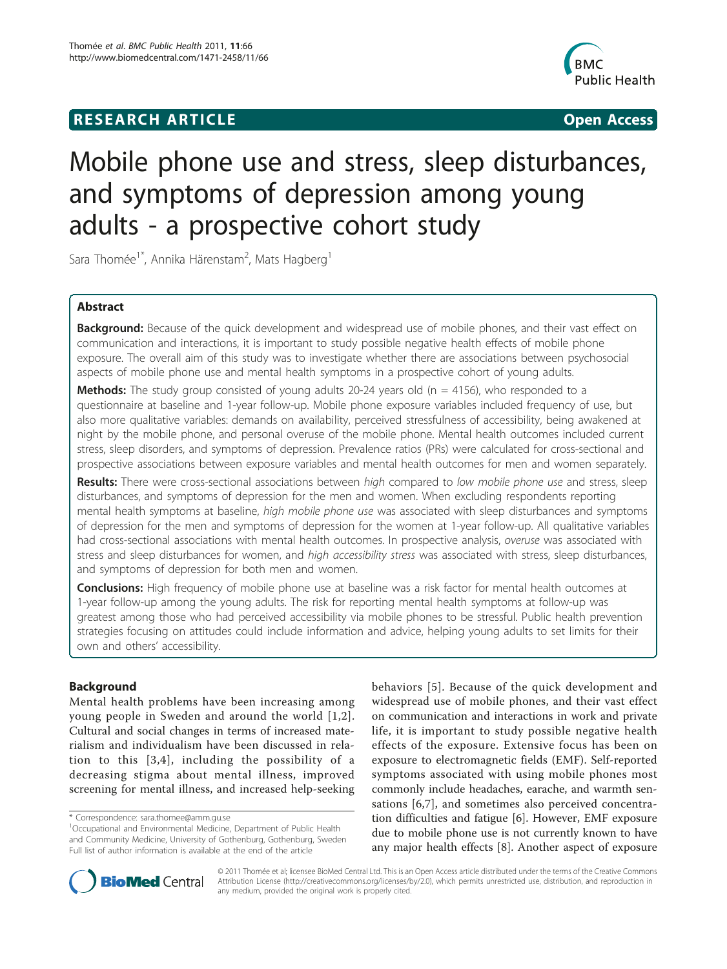# **RESEARCH ARTICLE Example 2018 CONSIDERING ACCESS**



# Mobile phone use and stress, sleep disturbances, and symptoms of depression among young adults - a prospective cohort study

Sara Thomée<sup>1\*</sup>, Annika Härenstam<sup>2</sup>, Mats Hagberg<sup>1</sup>

# Abstract

**Background:** Because of the quick development and widespread use of mobile phones, and their vast effect on communication and interactions, it is important to study possible negative health effects of mobile phone exposure. The overall aim of this study was to investigate whether there are associations between psychosocial aspects of mobile phone use and mental health symptoms in a prospective cohort of young adults.

**Methods:** The study group consisted of young adults 20-24 years old ( $n = 4156$ ), who responded to a questionnaire at baseline and 1-year follow-up. Mobile phone exposure variables included frequency of use, but also more qualitative variables: demands on availability, perceived stressfulness of accessibility, being awakened at night by the mobile phone, and personal overuse of the mobile phone. Mental health outcomes included current stress, sleep disorders, and symptoms of depression. Prevalence ratios (PRs) were calculated for cross-sectional and prospective associations between exposure variables and mental health outcomes for men and women separately.

Results: There were cross-sectional associations between high compared to low mobile phone use and stress, sleep disturbances, and symptoms of depression for the men and women. When excluding respondents reporting mental health symptoms at baseline, high mobile phone use was associated with sleep disturbances and symptoms of depression for the men and symptoms of depression for the women at 1-year follow-up. All qualitative variables had cross-sectional associations with mental health outcomes. In prospective analysis, overuse was associated with stress and sleep disturbances for women, and high accessibility stress was associated with stress, sleep disturbances, and symptoms of depression for both men and women.

**Conclusions:** High frequency of mobile phone use at baseline was a risk factor for mental health outcomes at 1-year follow-up among the young adults. The risk for reporting mental health symptoms at follow-up was greatest among those who had perceived accessibility via mobile phones to be stressful. Public health prevention strategies focusing on attitudes could include information and advice, helping young adults to set limits for their own and others' accessibility.

# Background

Mental health problems have been increasing among young people in Sweden and around the world [[1](#page-10-0),[2\]](#page-10-0). Cultural and social changes in terms of increased materialism and individualism have been discussed in relation to this [[3,4\]](#page-10-0), including the possibility of a decreasing stigma about mental illness, improved screening for mental illness, and increased help-seeking

behaviors [\[5\]](#page-10-0). Because of the quick development and widespread use of mobile phones, and their vast effect on communication and interactions in work and private life, it is important to study possible negative health effects of the exposure. Extensive focus has been on exposure to electromagnetic fields (EMF). Self-reported symptoms associated with using mobile phones most commonly include headaches, earache, and warmth sensations [[6,7](#page-10-0)], and sometimes also perceived concentration difficulties and fatigue [[6\]](#page-10-0). However, EMF exposure due to mobile phone use is not currently known to have any major health effects [[8\]](#page-10-0). Another aspect of exposure



© 2011 Thomée et al; licensee BioMed Central Ltd. This is an Open Access article distributed under the terms of the Creative Commons Attribution License [\(http://creativecommons.org/licenses/by/2.0](http://creativecommons.org/licenses/by/2.0)), which permits unrestricted use, distribution, and reproduction in any medium, provided the original work is properly cited.

<sup>\*</sup> Correspondence: [sara.thomee@amm.gu.se](mailto:sara.thomee@amm.gu.se)

<sup>&</sup>lt;sup>1</sup>Occupational and Environmental Medicine, Department of Public Health and Community Medicine, University of Gothenburg, Gothenburg, Sweden Full list of author information is available at the end of the article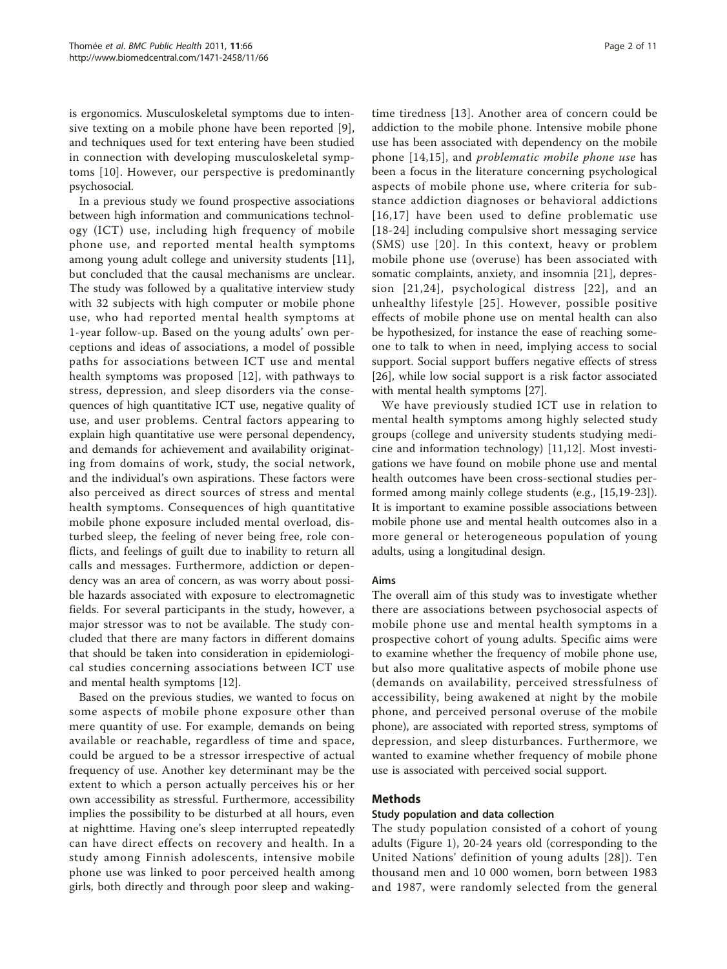is ergonomics. Musculoskeletal symptoms due to intensive texting on a mobile phone have been reported [[9](#page-10-0)], and techniques used for text entering have been studied in connection with developing musculoskeletal symptoms [[10\]](#page-10-0). However, our perspective is predominantly psychosocial.

In a previous study we found prospective associations between high information and communications technology (ICT) use, including high frequency of mobile phone use, and reported mental health symptoms among young adult college and university students [\[11](#page-10-0)], but concluded that the causal mechanisms are unclear. The study was followed by a qualitative interview study with 32 subjects with high computer or mobile phone use, who had reported mental health symptoms at 1-year follow-up. Based on the young adults' own perceptions and ideas of associations, a model of possible paths for associations between ICT use and mental health symptoms was proposed [\[12](#page-10-0)], with pathways to stress, depression, and sleep disorders via the consequences of high quantitative ICT use, negative quality of use, and user problems. Central factors appearing to explain high quantitative use were personal dependency, and demands for achievement and availability originating from domains of work, study, the social network, and the individual's own aspirations. These factors were also perceived as direct sources of stress and mental health symptoms. Consequences of high quantitative mobile phone exposure included mental overload, disturbed sleep, the feeling of never being free, role conflicts, and feelings of guilt due to inability to return all calls and messages. Furthermore, addiction or dependency was an area of concern, as was worry about possible hazards associated with exposure to electromagnetic fields. For several participants in the study, however, a major stressor was to not be available. The study concluded that there are many factors in different domains that should be taken into consideration in epidemiological studies concerning associations between ICT use and mental health symptoms [\[12](#page-10-0)].

Based on the previous studies, we wanted to focus on some aspects of mobile phone exposure other than mere quantity of use. For example, demands on being available or reachable, regardless of time and space, could be argued to be a stressor irrespective of actual frequency of use. Another key determinant may be the extent to which a person actually perceives his or her own accessibility as stressful. Furthermore, accessibility implies the possibility to be disturbed at all hours, even at nighttime. Having one's sleep interrupted repeatedly can have direct effects on recovery and health. In a study among Finnish adolescents, intensive mobile phone use was linked to poor perceived health among girls, both directly and through poor sleep and waking-

time tiredness [\[13\]](#page-10-0). Another area of concern could be addiction to the mobile phone. Intensive mobile phone use has been associated with dependency on the mobile phone [[14,15\]](#page-10-0), and problematic mobile phone use has been a focus in the literature concerning psychological aspects of mobile phone use, where criteria for substance addiction diagnoses or behavioral addictions [[16](#page-10-0),[17](#page-10-0)] have been used to define problematic use [[18](#page-10-0)-[24\]](#page-10-0) including compulsive short messaging service (SMS) use [[20\]](#page-10-0). In this context, heavy or problem mobile phone use (overuse) has been associated with somatic complaints, anxiety, and insomnia [\[21](#page-10-0)], depression [[21](#page-10-0),[24\]](#page-10-0), psychological distress [[22\]](#page-10-0), and an unhealthy lifestyle [[25\]](#page-10-0). However, possible positive effects of mobile phone use on mental health can also be hypothesized, for instance the ease of reaching someone to talk to when in need, implying access to social support. Social support buffers negative effects of stress [[26\]](#page-10-0), while low social support is a risk factor associated with mental health symptoms [\[27](#page-10-0)].

We have previously studied ICT use in relation to mental health symptoms among highly selected study groups (college and university students studying medicine and information technology) [[11,12](#page-10-0)]. Most investigations we have found on mobile phone use and mental health outcomes have been cross-sectional studies performed among mainly college students (e.g., [[15,19-23\]](#page-10-0)). It is important to examine possible associations between mobile phone use and mental health outcomes also in a more general or heterogeneous population of young adults, using a longitudinal design.

#### Aims

The overall aim of this study was to investigate whether there are associations between psychosocial aspects of mobile phone use and mental health symptoms in a prospective cohort of young adults. Specific aims were to examine whether the frequency of mobile phone use, but also more qualitative aspects of mobile phone use (demands on availability, perceived stressfulness of accessibility, being awakened at night by the mobile phone, and perceived personal overuse of the mobile phone), are associated with reported stress, symptoms of depression, and sleep disturbances. Furthermore, we wanted to examine whether frequency of mobile phone use is associated with perceived social support.

# Methods

#### Study population and data collection

The study population consisted of a cohort of young adults (Figure [1\)](#page-2-0), 20-24 years old (corresponding to the United Nations' definition of young adults [\[28\]](#page-10-0)). Ten thousand men and 10 000 women, born between 1983 and 1987, were randomly selected from the general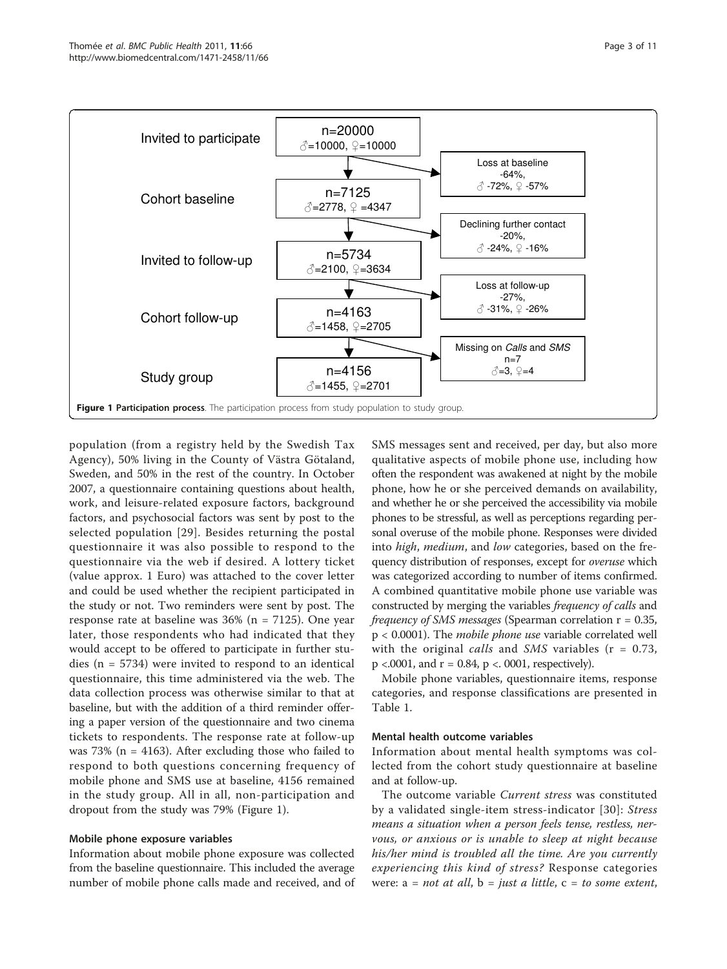<span id="page-2-0"></span>

population (from a registry held by the Swedish Tax Agency), 50% living in the County of Västra Götaland, Sweden, and 50% in the rest of the country. In October 2007, a questionnaire containing questions about health, work, and leisure-related exposure factors, background factors, and psychosocial factors was sent by post to the selected population [\[29\]](#page-10-0). Besides returning the postal questionnaire it was also possible to respond to the questionnaire via the web if desired. A lottery ticket (value approx. 1 Euro) was attached to the cover letter and could be used whether the recipient participated in the study or not. Two reminders were sent by post. The response rate at baseline was  $36\%$  (n = 7125). One year later, those respondents who had indicated that they would accept to be offered to participate in further studies (n = 5734) were invited to respond to an identical questionnaire, this time administered via the web. The data collection process was otherwise similar to that at baseline, but with the addition of a third reminder offering a paper version of the questionnaire and two cinema tickets to respondents. The response rate at follow-up was 73% ( $n = 4163$ ). After excluding those who failed to respond to both questions concerning frequency of mobile phone and SMS use at baseline, 4156 remained in the study group. All in all, non-participation and dropout from the study was 79% (Figure 1).

# Mobile phone exposure variables

Information about mobile phone exposure was collected from the baseline questionnaire. This included the average number of mobile phone calls made and received, and of

SMS messages sent and received, per day, but also more qualitative aspects of mobile phone use, including how often the respondent was awakened at night by the mobile phone, how he or she perceived demands on availability, and whether he or she perceived the accessibility via mobile phones to be stressful, as well as perceptions regarding personal overuse of the mobile phone. Responses were divided into high, medium, and low categories, based on the frequency distribution of responses, except for overuse which was categorized according to number of items confirmed. A combined quantitative mobile phone use variable was constructed by merging the variables frequency of calls and frequency of SMS messages (Spearman correlation  $r = 0.35$ , p < 0.0001). The mobile phone use variable correlated well with the original *calls* and *SMS* variables ( $r = 0.73$ ,  $p < .0001$ , and  $r = 0.84$ ,  $p < .0001$ , respectively).

Mobile phone variables, questionnaire items, response categories, and response classifications are presented in Table [1.](#page-3-0)

#### Mental health outcome variables

Information about mental health symptoms was collected from the cohort study questionnaire at baseline and at follow-up.

The outcome variable Current stress was constituted by a validated single-item stress-indicator [[30](#page-10-0)]: Stress means a situation when a person feels tense, restless, nervous, or anxious or is unable to sleep at night because his/her mind is troubled all the time. Are you currently experiencing this kind of stress? Response categories were:  $a = not$  at all,  $b = just$  a little,  $c = to$  some extent,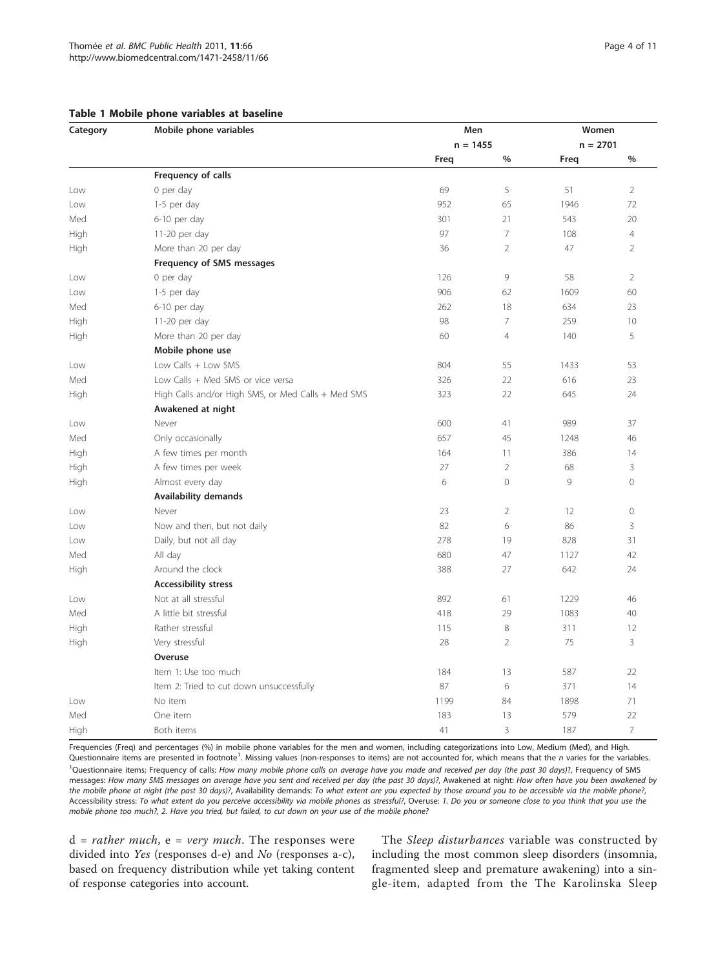#### <span id="page-3-0"></span>Table 1 Mobile phone variables at baseline

| Category | Mobile phone variables                             | Men        |                | Women      |                 |  |  |
|----------|----------------------------------------------------|------------|----------------|------------|-----------------|--|--|
|          |                                                    | $n = 1455$ |                | $n = 2701$ |                 |  |  |
|          |                                                    | Freq       | $\%$           | Freq       | $\%$            |  |  |
|          | Frequency of calls                                 |            |                |            |                 |  |  |
| Low      | 0 per day                                          | 69         | 5              | 51         | 2               |  |  |
| Low      | 1-5 per day                                        | 952        | 65             | 1946       | 72              |  |  |
| Med      | 6-10 per day                                       | 301        | 21             | 543        | 20              |  |  |
| High     | 11-20 per day                                      | 97         | $\overline{7}$ | 108        | $\overline{4}$  |  |  |
| High     | More than 20 per day                               | 36         | $\overline{2}$ | 47         | $\overline{2}$  |  |  |
|          | Frequency of SMS messages                          |            |                |            |                 |  |  |
| Low      | 0 per day                                          | 126        | 9              | 58         | $\overline{2}$  |  |  |
| Low      | 1-5 per day                                        | 906        | 62             | 1609       | 60              |  |  |
| Med      | 6-10 per day                                       | 262        | 18             | 634        | 23              |  |  |
| High     | 11-20 per day                                      | 98         | $\overline{7}$ | 259        | 10              |  |  |
| High     | More than 20 per day                               | 60         | $\overline{4}$ | 140        | 5               |  |  |
|          | Mobile phone use                                   |            |                |            |                 |  |  |
| Low      | Low Calls + Low SMS                                | 804        | 55             | 1433       | 53              |  |  |
| Med      | Low Calls + Med SMS or vice versa                  | 326        | 22             | 616        | 23              |  |  |
| High     | High Calls and/or High SMS, or Med Calls + Med SMS | 323        | 22             | 645        | 24              |  |  |
|          | Awakened at night                                  |            |                |            |                 |  |  |
| Low      | Never                                              | 600        | 41             | 989        | 37              |  |  |
| Med      | Only occasionally                                  | 657        | 45             | 1248       | 46              |  |  |
| High     | A few times per month                              | 164        | 11             | 386        | 14              |  |  |
| High     | A few times per week                               | 27         | $\overline{2}$ | 68         | 3               |  |  |
| High     | Almost every day                                   | 6          | $\overline{0}$ | 9          | $\overline{0}$  |  |  |
|          | <b>Availability demands</b>                        |            |                |            |                 |  |  |
| Low      | Never                                              | 23         | $\overline{2}$ | 12         | $\circ$         |  |  |
| Low      | Now and then, but not daily                        | 82         | 6              | 86         | $\overline{3}$  |  |  |
| Low      | Daily, but not all day                             | 278        | 19             | 828        | 31              |  |  |
| Med      | All day                                            | 680        | 47             | 1127       | 42              |  |  |
| High     | Around the clock                                   | 388        | 27             | 642        | 24              |  |  |
|          | <b>Accessibility stress</b>                        |            |                |            |                 |  |  |
| Low      | Not at all stressful                               | 892        | 61             | 1229       | 46              |  |  |
| Med      | A little bit stressful                             | 418        | 29             | 1083       | 40              |  |  |
| High     | Rather stressful                                   | 115        | 8              | 311        | 12              |  |  |
| High     | Very stressful                                     | 28         | $\overline{2}$ | 75         | 3               |  |  |
|          | Overuse                                            |            |                |            |                 |  |  |
|          | Item 1: Use too much                               | 184        | 13             | 587        | 22              |  |  |
|          | Item 2: Tried to cut down unsuccessfully           | 87         | 6              | 371        | 14              |  |  |
| Low      | No item                                            | 1199       | 84             | 1898       | 71              |  |  |
| Med      | One item                                           | 183        | 13             | 579        | 22              |  |  |
| High     | Both items                                         | 41         | 3              | 187        | $7\overline{ }$ |  |  |

Frequencies (Freq) and percentages (%) in mobile phone variables for the men and women, including categorizations into Low, Medium (Med), and High. Questionnaire items are presented in footnote<sup>1</sup>. Missing values (non-responses to items) are not accounted for, which means that the n varies for the variables. <sup>1</sup>Questionnaire items; Frequency of calls: How many mobile phone calls on average have you made and received per day (the past 30 days)?, Frequency of SMS messages: How many SMS messages on average have you sent and received per day (the past 30 days)?, Awakened at night: How often have you been awakened by the mobile phone at night (the past 30 days)?, Availability demands: To what extent are you expected by those around you to be accessible via the mobile phone?, Accessibility stress: To what extent do you perceive accessibility via mobile phones as stressful?, Overuse: 1. Do you or someone close to you think that you use the mobile phone too much?, 2. Have you tried, but failed, to cut down on your use of the mobile phone?

 $d = rather much, e = very much. The responses were$ divided into Yes (responses d-e) and No (responses a-c), based on frequency distribution while yet taking content of response categories into account.

The Sleep disturbances variable was constructed by including the most common sleep disorders (insomnia, fragmented sleep and premature awakening) into a single-item, adapted from the The Karolinska Sleep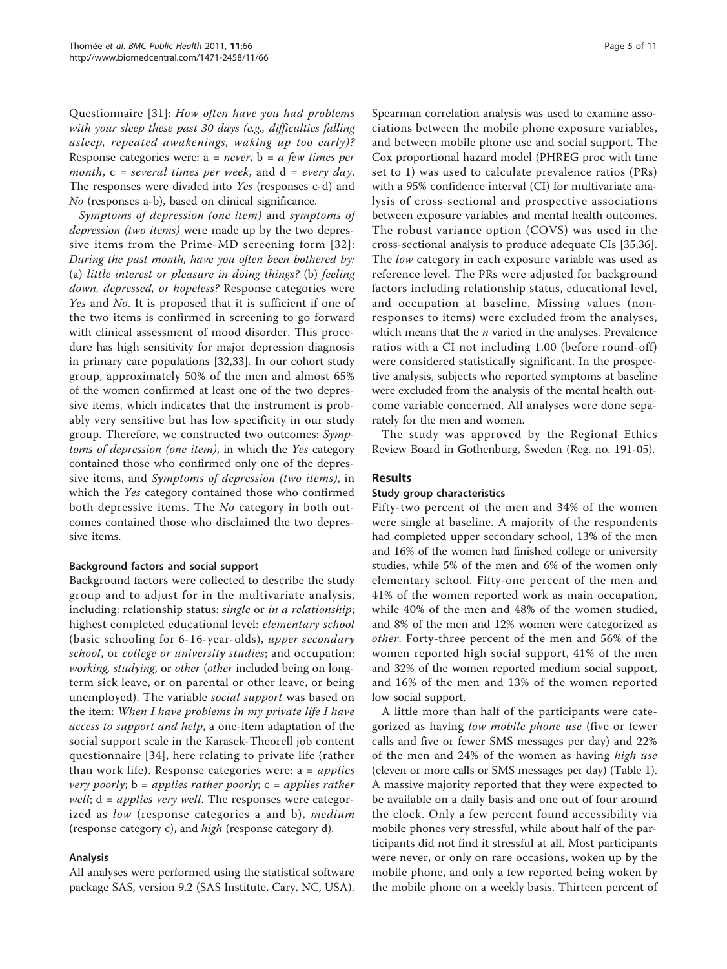Questionnaire [\[31](#page-10-0)]: How often have you had problems with your sleep these past 30 days (e.g., difficulties falling asleep, repeated awakenings, waking up too early)? Response categories were:  $a = never$ ,  $b = a$  few times per month,  $c = several times per week$ , and  $d = every day$ . The responses were divided into Yes (responses c-d) and No (responses a-b), based on clinical significance.

Symptoms of depression (one item) and symptoms of depression (two items) were made up by the two depressive items from the Prime-MD screening form [[32\]](#page-10-0): During the past month, have you often been bothered by: (a) little interest or pleasure in doing things? (b) feeling down, depressed, or hopeless? Response categories were Yes and No. It is proposed that it is sufficient if one of the two items is confirmed in screening to go forward with clinical assessment of mood disorder. This procedure has high sensitivity for major depression diagnosis in primary care populations [\[32,33](#page-10-0)]. In our cohort study group, approximately 50% of the men and almost 65% of the women confirmed at least one of the two depressive items, which indicates that the instrument is probably very sensitive but has low specificity in our study group. Therefore, we constructed two outcomes: Symptoms of depression (one item), in which the Yes category contained those who confirmed only one of the depressive items, and Symptoms of depression (two items), in which the Yes category contained those who confirmed both depressive items. The No category in both outcomes contained those who disclaimed the two depressive items.

#### Background factors and social support

Background factors were collected to describe the study group and to adjust for in the multivariate analysis, including: relationship status: single or in a relationship; highest completed educational level: elementary school (basic schooling for 6-16-year-olds), upper secondary school, or college or university studies; and occupation: working, studying, or other (other included being on longterm sick leave, or on parental or other leave, or being unemployed). The variable social support was based on the item: When I have problems in my private life I have access to support and help, a one-item adaptation of the social support scale in the Karasek-Theorell job content questionnaire [[34\]](#page-10-0), here relating to private life (rather than work life). Response categories were:  $a = applies$ very poorly;  $b =$  applies rather poorly;  $c =$  applies rather well;  $d = applies \, very \, well.$  The responses were categorized as low (response categories a and b), medium (response category c), and high (response category d).

#### Analysis

All analyses were performed using the statistical software package SAS, version 9.2 (SAS Institute, Cary, NC, USA). Spearman correlation analysis was used to examine associations between the mobile phone exposure variables, and between mobile phone use and social support. The Cox proportional hazard model (PHREG proc with time set to 1) was used to calculate prevalence ratios (PRs) with a 95% confidence interval (CI) for multivariate analysis of cross-sectional and prospective associations between exposure variables and mental health outcomes. The robust variance option (COVS) was used in the cross-sectional analysis to produce adequate CIs [[35,36](#page-10-0)]. The low category in each exposure variable was used as reference level. The PRs were adjusted for background factors including relationship status, educational level, and occupation at baseline. Missing values (nonresponses to items) were excluded from the analyses, which means that the  $n$  varied in the analyses. Prevalence ratios with a CI not including 1.00 (before round-off) were considered statistically significant. In the prospective analysis, subjects who reported symptoms at baseline were excluded from the analysis of the mental health outcome variable concerned. All analyses were done separately for the men and women.

The study was approved by the Regional Ethics Review Board in Gothenburg, Sweden (Reg. no. 191-05).

#### Results

#### Study group characteristics

Fifty-two percent of the men and 34% of the women were single at baseline. A majority of the respondents had completed upper secondary school, 13% of the men and 16% of the women had finished college or university studies, while 5% of the men and 6% of the women only elementary school. Fifty-one percent of the men and 41% of the women reported work as main occupation, while 40% of the men and 48% of the women studied, and 8% of the men and 12% women were categorized as other. Forty-three percent of the men and 56% of the women reported high social support, 41% of the men and 32% of the women reported medium social support, and 16% of the men and 13% of the women reported low social support.

A little more than half of the participants were categorized as having low mobile phone use (five or fewer calls and five or fewer SMS messages per day) and 22% of the men and 24% of the women as having high use (eleven or more calls or SMS messages per day) (Table [1](#page-3-0)). A massive majority reported that they were expected to be available on a daily basis and one out of four around the clock. Only a few percent found accessibility via mobile phones very stressful, while about half of the participants did not find it stressful at all. Most participants were never, or only on rare occasions, woken up by the mobile phone, and only a few reported being woken by the mobile phone on a weekly basis. Thirteen percent of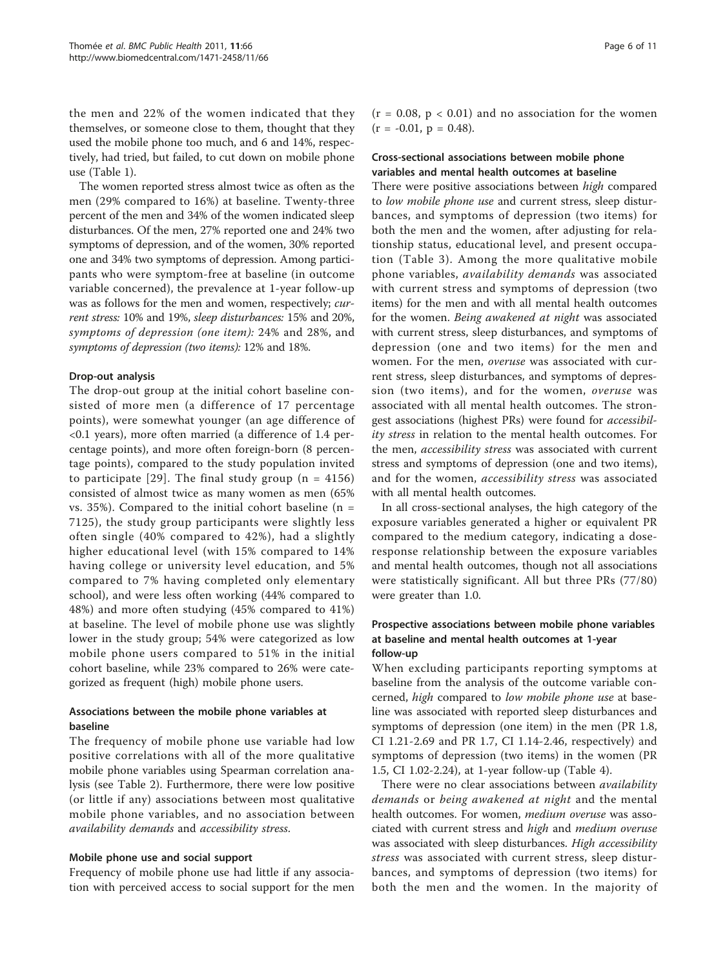the men and 22% of the women indicated that they themselves, or someone close to them, thought that they used the mobile phone too much, and 6 and 14%, respectively, had tried, but failed, to cut down on mobile phone use (Table [1](#page-3-0)).

The women reported stress almost twice as often as the men (29% compared to 16%) at baseline. Twenty-three percent of the men and 34% of the women indicated sleep disturbances. Of the men, 27% reported one and 24% two symptoms of depression, and of the women, 30% reported one and 34% two symptoms of depression. Among participants who were symptom-free at baseline (in outcome variable concerned), the prevalence at 1-year follow-up was as follows for the men and women, respectively; current stress: 10% and 19%, sleep disturbances: 15% and 20%, symptoms of depression (one item): 24% and 28%, and symptoms of depression (two items): 12% and 18%.

#### Drop-out analysis

The drop-out group at the initial cohort baseline consisted of more men (a difference of 17 percentage points), were somewhat younger (an age difference of <0.1 years), more often married (a difference of 1.4 percentage points), and more often foreign-born (8 percentage points), compared to the study population invited to participate [[29\]](#page-10-0). The final study group  $(n = 4156)$ consisted of almost twice as many women as men (65% vs. 35%). Compared to the initial cohort baseline (n = 7125), the study group participants were slightly less often single (40% compared to 42%), had a slightly higher educational level (with 15% compared to 14% having college or university level education, and 5% compared to 7% having completed only elementary school), and were less often working (44% compared to 48%) and more often studying (45% compared to 41%) at baseline. The level of mobile phone use was slightly lower in the study group; 54% were categorized as low mobile phone users compared to 51% in the initial cohort baseline, while 23% compared to 26% were categorized as frequent (high) mobile phone users.

# Associations between the mobile phone variables at baseline

The frequency of mobile phone use variable had low positive correlations with all of the more qualitative mobile phone variables using Spearman correlation analysis (see Table [2\)](#page-6-0). Furthermore, there were low positive (or little if any) associations between most qualitative mobile phone variables, and no association between availability demands and accessibility stress.

#### Mobile phone use and social support

Frequency of mobile phone use had little if any association with perceived access to social support for the men

 $(r = 0.08, p < 0.01)$  and no association for the women  $(r = -0.01, p = 0.48).$ 

# Cross-sectional associations between mobile phone variables and mental health outcomes at baseline

There were positive associations between high compared to low mobile phone use and current stress, sleep disturbances, and symptoms of depression (two items) for both the men and the women, after adjusting for relationship status, educational level, and present occupation (Table [3\)](#page-7-0). Among the more qualitative mobile phone variables, availability demands was associated with current stress and symptoms of depression (two items) for the men and with all mental health outcomes for the women. Being awakened at night was associated with current stress, sleep disturbances, and symptoms of depression (one and two items) for the men and women. For the men, overuse was associated with current stress, sleep disturbances, and symptoms of depression (two items), and for the women, overuse was associated with all mental health outcomes. The strongest associations (highest PRs) were found for accessibility stress in relation to the mental health outcomes. For the men, accessibility stress was associated with current stress and symptoms of depression (one and two items), and for the women, accessibility stress was associated with all mental health outcomes.

In all cross-sectional analyses, the high category of the exposure variables generated a higher or equivalent PR compared to the medium category, indicating a doseresponse relationship between the exposure variables and mental health outcomes, though not all associations were statistically significant. All but three PRs (77/80) were greater than 1.0.

## Prospective associations between mobile phone variables at baseline and mental health outcomes at 1-year follow-up

When excluding participants reporting symptoms at baseline from the analysis of the outcome variable concerned, high compared to low mobile phone use at baseline was associated with reported sleep disturbances and symptoms of depression (one item) in the men (PR 1.8, CI 1.21-2.69 and PR 1.7, CI 1.14-2.46, respectively) and symptoms of depression (two items) in the women (PR 1.5, CI 1.02-2.24), at 1-year follow-up (Table [4](#page-8-0)).

There were no clear associations between *availability* demands or being awakened at night and the mental health outcomes. For women, medium overuse was associated with current stress and high and medium overuse was associated with sleep disturbances. High accessibility stress was associated with current stress, sleep disturbances, and symptoms of depression (two items) for both the men and the women. In the majority of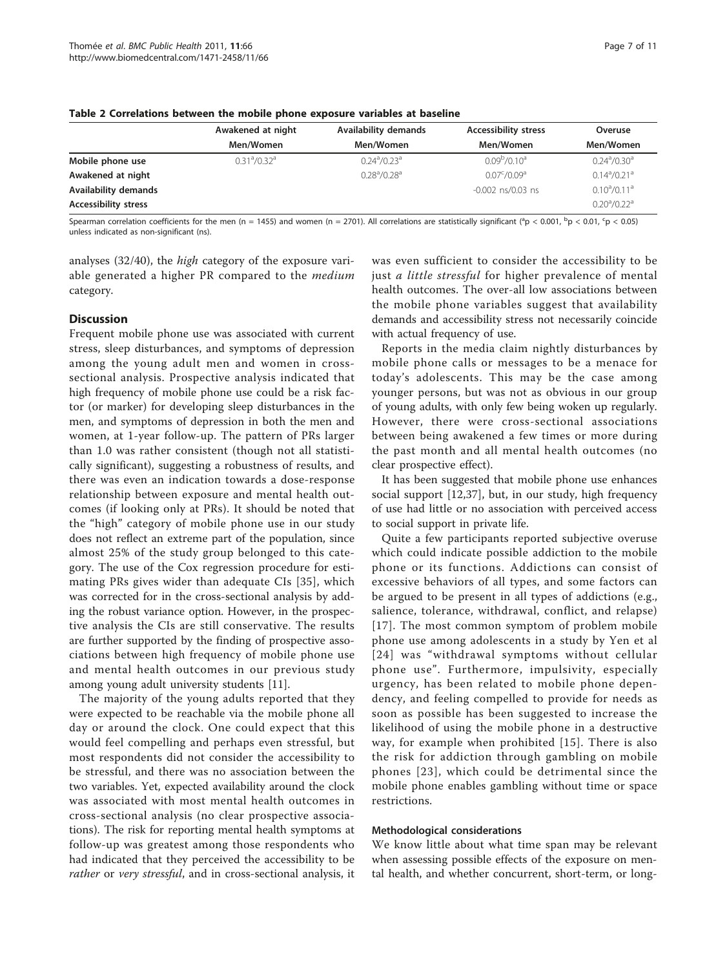|                             | Awakened at night           | Availability demands              | <b>Accessibility stress</b> | Overuse                     |
|-----------------------------|-----------------------------|-----------------------------------|-----------------------------|-----------------------------|
|                             | Men/Women                   | Men/Women                         | Men/Women                   | Men/Women                   |
| Mobile phone use            | $0.31^{\circ}/0.32^{\circ}$ | $0.24^{\text{a}}/0.23^{\text{a}}$ | $0.09^{\rm b}/0.10^{\rm a}$ | $0.24^{\circ}/0.30^{\circ}$ |
| Awakened at night           |                             | $0.28^{\rm a}/0.28^{\rm a}$       | $0.07^{\circ}/0.09^{\circ}$ | $0.14^{\circ}/0.21^{\circ}$ |
| Availability demands        |                             |                                   | $-0.002$ ns/0.03 ns         | $0.10^{\rm a}/0.11^{\rm a}$ |
| <b>Accessibility stress</b> |                             |                                   |                             | $0.20^{\rm a}/0.22^{\rm a}$ |

<span id="page-6-0"></span>Table 2 Correlations between the mobile phone exposure variables at baseline

Spearman correlation coefficients for the men (n = 1455) and women (n = 2701). All correlations are statistically significant (<sup>a</sup>p < 0.001, <sup>b</sup>p < 0.01, <sup>c</sup>p < 0.05) unless indicated as non-significant (ns).

analyses (32/40), the high category of the exposure variable generated a higher PR compared to the medium category.

#### **Discussion**

Frequent mobile phone use was associated with current stress, sleep disturbances, and symptoms of depression among the young adult men and women in crosssectional analysis. Prospective analysis indicated that high frequency of mobile phone use could be a risk factor (or marker) for developing sleep disturbances in the men, and symptoms of depression in both the men and women, at 1-year follow-up. The pattern of PRs larger than 1.0 was rather consistent (though not all statistically significant), suggesting a robustness of results, and there was even an indication towards a dose-response relationship between exposure and mental health outcomes (if looking only at PRs). It should be noted that the "high" category of mobile phone use in our study does not reflect an extreme part of the population, since almost 25% of the study group belonged to this category. The use of the Cox regression procedure for estimating PRs gives wider than adequate CIs [[35](#page-10-0)], which was corrected for in the cross-sectional analysis by adding the robust variance option. However, in the prospective analysis the CIs are still conservative. The results are further supported by the finding of prospective associations between high frequency of mobile phone use and mental health outcomes in our previous study among young adult university students [[11](#page-10-0)].

The majority of the young adults reported that they were expected to be reachable via the mobile phone all day or around the clock. One could expect that this would feel compelling and perhaps even stressful, but most respondents did not consider the accessibility to be stressful, and there was no association between the two variables. Yet, expected availability around the clock was associated with most mental health outcomes in cross-sectional analysis (no clear prospective associations). The risk for reporting mental health symptoms at follow-up was greatest among those respondents who had indicated that they perceived the accessibility to be rather or very stressful, and in cross-sectional analysis, it

was even sufficient to consider the accessibility to be just *a little stressful* for higher prevalence of mental health outcomes. The over-all low associations between the mobile phone variables suggest that availability demands and accessibility stress not necessarily coincide with actual frequency of use.

Reports in the media claim nightly disturbances by mobile phone calls or messages to be a menace for today's adolescents. This may be the case among younger persons, but was not as obvious in our group of young adults, with only few being woken up regularly. However, there were cross-sectional associations between being awakened a few times or more during the past month and all mental health outcomes (no clear prospective effect).

It has been suggested that mobile phone use enhances social support [[12,37\]](#page-10-0), but, in our study, high frequency of use had little or no association with perceived access to social support in private life.

Quite a few participants reported subjective overuse which could indicate possible addiction to the mobile phone or its functions. Addictions can consist of excessive behaviors of all types, and some factors can be argued to be present in all types of addictions (e.g., salience, tolerance, withdrawal, conflict, and relapse) [[17](#page-10-0)]. The most common symptom of problem mobile phone use among adolescents in a study by Yen et al [[24\]](#page-10-0) was "withdrawal symptoms without cellular phone use". Furthermore, impulsivity, especially urgency, has been related to mobile phone dependency, and feeling compelled to provide for needs as soon as possible has been suggested to increase the likelihood of using the mobile phone in a destructive way, for example when prohibited [[15](#page-10-0)]. There is also the risk for addiction through gambling on mobile phones [[23\]](#page-10-0), which could be detrimental since the mobile phone enables gambling without time or space restrictions.

#### Methodological considerations

We know little about what time span may be relevant when assessing possible effects of the exposure on mental health, and whether concurrent, short-term, or long-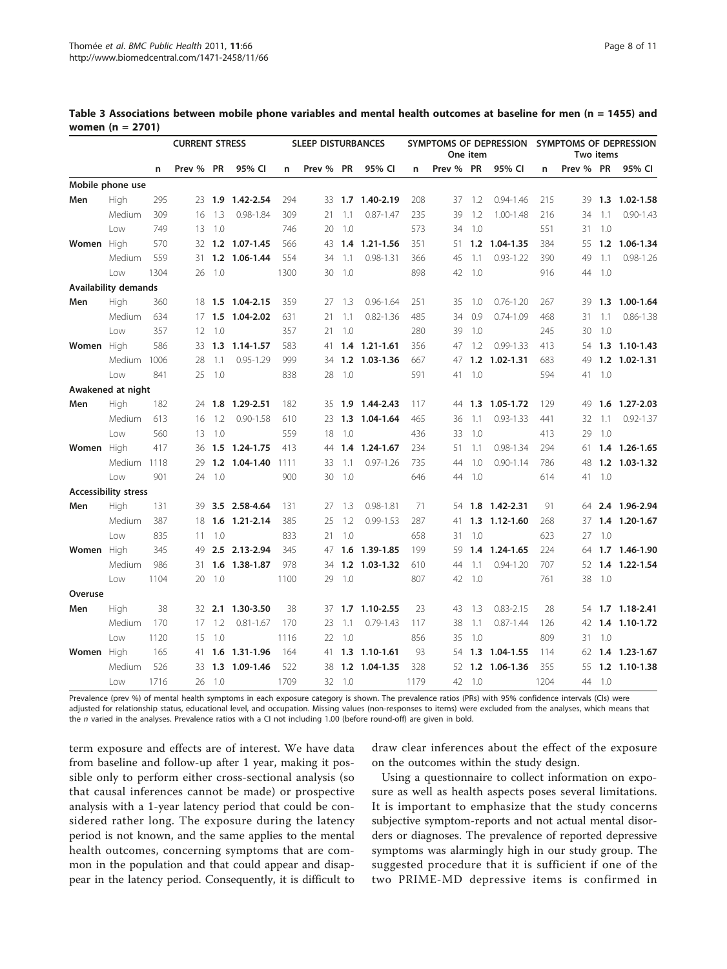<span id="page-7-0"></span>Table 3 Associations between mobile phone variables and mental health outcomes at baseline for men (n = 1455) and women (n = 2701)

|            |                             |      | <b>CURRENT STRESS</b> |          |               |      | <b>SLEEP DISTURBANCES</b> |     |               | SYMPTOMS OF DEPRESSION<br>One item |           |     |               | SYMPTOMS OF DEPRESSION<br>Two items |           |     |               |
|------------|-----------------------------|------|-----------------------|----------|---------------|------|---------------------------|-----|---------------|------------------------------------|-----------|-----|---------------|-------------------------------------|-----------|-----|---------------|
|            |                             | n    | Prev %                | PR       | 95% CI        | n    | Prev %                    | PR  | 95% CI        | n                                  | Prev % PR |     | 95% CI        | n                                   | Prev % PR |     | 95% CI        |
|            | Mobile phone use            |      |                       |          |               |      |                           |     |               |                                    |           |     |               |                                     |           |     |               |
| Men        | High                        | 295  | 23                    | 1.9      | $1.42 - 2.54$ | 294  | 33                        | 1.7 | 1.40-2.19     | 208                                | 37        | 1.2 | $0.94 - 1.46$ | 215                                 | 39        | 1.3 | $1.02 - 1.58$ |
|            | Medium                      | 309  | 16                    | 1.3      | $0.98 - 1.84$ | 309  | 21                        | 1.1 | $0.87 - 1.47$ | 235                                | 39        | 1.2 | 1.00-1.48     | 216                                 | 34        | 1.1 | $0.90 - 1.43$ |
|            | l ow                        | 749  | 13                    | 1.0      |               | 746  | 20                        | 1.0 |               | 573                                | 34        | 1.0 |               | 551                                 | 31        | 1.0 |               |
| Women High |                             | 570  | 32                    |          | 1.2 1.07-1.45 | 566  | 43                        | 1.4 | 1.21-1.56     | 351                                | 51        | 1.2 | 1.04-1.35     | 384                                 | 55        | 1.2 | 1.06-1.34     |
|            | Medium                      | 559  | 31                    | 1.2      | 1.06-1.44     | 554  | 34                        | 1.1 | $0.98 - 1.31$ | 366                                | 45        | 1.1 | $0.93 - 1.22$ | 390                                 | 49        | 1.1 | $0.98 - 1.26$ |
|            | l ow                        | 1304 | 26                    | 1.0      |               | 1300 | 30                        | 1.0 |               | 898                                | 42        | 1.0 |               | 916                                 | 44        | 1.0 |               |
|            | <b>Availability demands</b> |      |                       |          |               |      |                           |     |               |                                    |           |     |               |                                     |           |     |               |
| Men        | High                        | 360  |                       | $18$ 1.5 | 1.04-2.15     | 359  | 27                        | 1.3 | $0.96 - 1.64$ | 251                                | 35        | 1.0 | $0.76 - 1.20$ | 267                                 | 39        | 1.3 | 1.00-1.64     |
|            | Medium                      | 634  |                       | $17$ 1.5 | 1.04-2.02     | 631  | 21                        | 1.1 | $0.82 - 1.36$ | 485                                | 34        | 0.9 | $0.74 - 1.09$ | 468                                 | 31        | 1.1 | $0.86 - 1.38$ |
|            | Low                         | 357  | 12                    | 1.0      |               | 357  | 21                        | 1.0 |               | 280                                | 39        | 1.0 |               | 245                                 | 30        | 1.0 |               |
| Women High |                             | 586  | 33                    | 1.3      | 1.14-1.57     | 583  | 41                        |     | 1.4 1.21-1.61 | 356                                | 47        | 1.2 | $0.99 - 1.33$ | 413                                 | 54        |     | 1.3 1.10-1.43 |
|            | Medium                      | 1006 | 28                    | 1.1      | $0.95 - 1.29$ | 999  | 34                        |     | 1.2 1.03-1.36 | 667                                | 47        |     | 1.2 1.02-1.31 | 683                                 | 49        |     | 1.2 1.02-1.31 |
|            | Low                         | 841  | 25                    | 1.0      |               | 838  | 28                        | 1.0 |               | 591                                | 41        | 1.0 |               | 594                                 | 41        | 1.0 |               |
|            | Awakened at night           |      |                       |          |               |      |                           |     |               |                                    |           |     |               |                                     |           |     |               |
| Men        | High                        | 182  | 24                    | 1.8      | 1.29-2.51     | 182  | 35                        | 1.9 | 1.44-2.43     | 117                                | 44        | 1.3 | $1.05 - 1.72$ | 129                                 | 49        | 1.6 | 1.27-2.03     |
|            | Medium                      | 613  | 16                    | 1.2      | $0.90 - 1.58$ | 610  | 23                        |     | 1.3 1.04-1.64 | 465                                | 36        | 1.1 | $0.93 - 1.33$ | 441                                 | 32        | 1.1 | $0.92 - 1.37$ |
|            | Low                         | 560  | 13                    | 1.0      |               | 559  | 18                        | 1.0 |               | 436                                | 33        | 1.0 |               | 413                                 | 29        | 1.0 |               |
| Women High |                             | 417  | 36                    | 1.5      | 1.24-1.75     | 413  | 44                        | 1.4 | 1.24-1.67     | 234                                | 51        | 1.1 | $0.98 - 1.34$ | 294                                 | 61        |     | 1.4 1.26-1.65 |
|            | Medium 1118                 |      | 29                    | 1.2      | 1.04-1.40     | 1111 | 33                        | 1.1 | $0.97 - 1.26$ | 735                                | 44        | 1.0 | $0.90 - 1.14$ | 786                                 | 48        |     | 1.2 1.03-1.32 |
|            | Low                         | 901  | 24                    | 1.0      |               | 900  | 30                        | 1.0 |               | 646                                | 44        | 1.0 |               | 614                                 | 41        | 1.0 |               |
|            | <b>Accessibility stress</b> |      |                       |          |               |      |                           |     |               |                                    |           |     |               |                                     |           |     |               |
| Men        | High                        | 131  | 39                    |          | 3.5 2.58-4.64 | 131  | 27                        | 1.3 | $0.98 - 1.81$ | 71                                 | 54        |     | 1.8 1.42-2.31 | 91                                  | 64        |     | 2.4 1.96-2.94 |
|            | Medium                      | 387  | 18                    | 1.6      | $1.21 - 2.14$ | 385  | 25                        | 1.2 | $0.99 - 1.53$ | 287                                | 41        |     | 1.3 1.12-1.60 | 268                                 | 37        |     | 1.4 1.20-1.67 |
|            | Low                         | 835  | 11                    | 1.0      |               | 833  | 21                        | 1.0 |               | 658                                | 31        | 1.0 |               | 623                                 | 27        | 1.0 |               |
| Women High |                             | 345  | 49                    | 2.5      | 2.13-2.94     | 345  | 47                        |     | 1.6 1.39-1.85 | 199                                | 59        |     | 1.4 1.24-1.65 | 224                                 | 64        |     | 1.7 1.46-1.90 |
|            | Medium                      | 986  | 31                    | 1.6      | 1.38-1.87     | 978  | 34                        |     | 1.2 1.03-1.32 | 610                                | 44        | 1.1 | $0.94 - 1.20$ | 707                                 | 52        |     | 1.4 1.22-1.54 |
|            | Low                         | 1104 | 20                    | 1.0      |               | 1100 | 29                        | 1.0 |               | 807                                | 42        | 1.0 |               | 761                                 | 38        | 1.0 |               |
| Overuse    |                             |      |                       |          |               |      |                           |     |               |                                    |           |     |               |                                     |           |     |               |
| Men        | High                        | 38   | 32                    | 2.1      | 1.30-3.50     | 38   | 37                        | 1.7 | 1.10-2.55     | 23                                 | 43        | 1.3 | $0.83 - 2.15$ | 28                                  | 54        |     | 1.7 1.18-2.41 |
|            | Medium                      | 170  | 17                    | 1.2      | $0.81 - 1.67$ | 170  | 23                        | 1.1 | $0.79 - 1.43$ | 117                                | 38        | 1.1 | $0.87 - 1.44$ | 126                                 | 42        |     | 1.4 1.10-1.72 |
|            | Low                         | 1120 | 15                    | 1.0      |               | 1116 | 22                        | 1.0 |               | 856                                | 35        | 1.0 |               | 809                                 | 31        | 1.0 |               |
| Women High |                             | 165  | 41                    | 1.6      | 1.31-1.96     | 164  | 41                        |     | 1.3 1.10-1.61 | 93                                 | 54        | 1.3 | 1.04-1.55     | 114                                 | 62        |     | 1.4 1.23-1.67 |
|            | Medium                      | 526  | 33                    | 1.3      | 1.09-1.46     | 522  | 38                        | 1.2 | 1.04-1.35     | 328                                | 52        | 1.2 | 1.06-1.36     | 355                                 | 55        |     | 1.2 1.10-1.38 |
|            | Low                         | 1716 | 26                    | 1.0      |               | 1709 | 32                        | 1.0 |               | 1179                               | 42        | 1.0 |               | 1204                                | 44        | 1.0 |               |

Prevalence (prev %) of mental health symptoms in each exposure category is shown. The prevalence ratios (PRs) with 95% confidence intervals (CIs) were adjusted for relationship status, educational level, and occupation. Missing values (non-responses to items) were excluded from the analyses, which means that the n varied in the analyses. Prevalence ratios with a CI not including 1.00 (before round-off) are given in bold.

term exposure and effects are of interest. We have data from baseline and follow-up after 1 year, making it possible only to perform either cross-sectional analysis (so that causal inferences cannot be made) or prospective analysis with a 1-year latency period that could be considered rather long. The exposure during the latency period is not known, and the same applies to the mental health outcomes, concerning symptoms that are common in the population and that could appear and disappear in the latency period. Consequently, it is difficult to

draw clear inferences about the effect of the exposure on the outcomes within the study design.

Using a questionnaire to collect information on exposure as well as health aspects poses several limitations. It is important to emphasize that the study concerns subjective symptom-reports and not actual mental disorders or diagnoses. The prevalence of reported depressive symptoms was alarmingly high in our study group. The suggested procedure that it is sufficient if one of the two PRIME-MD depressive items is confirmed in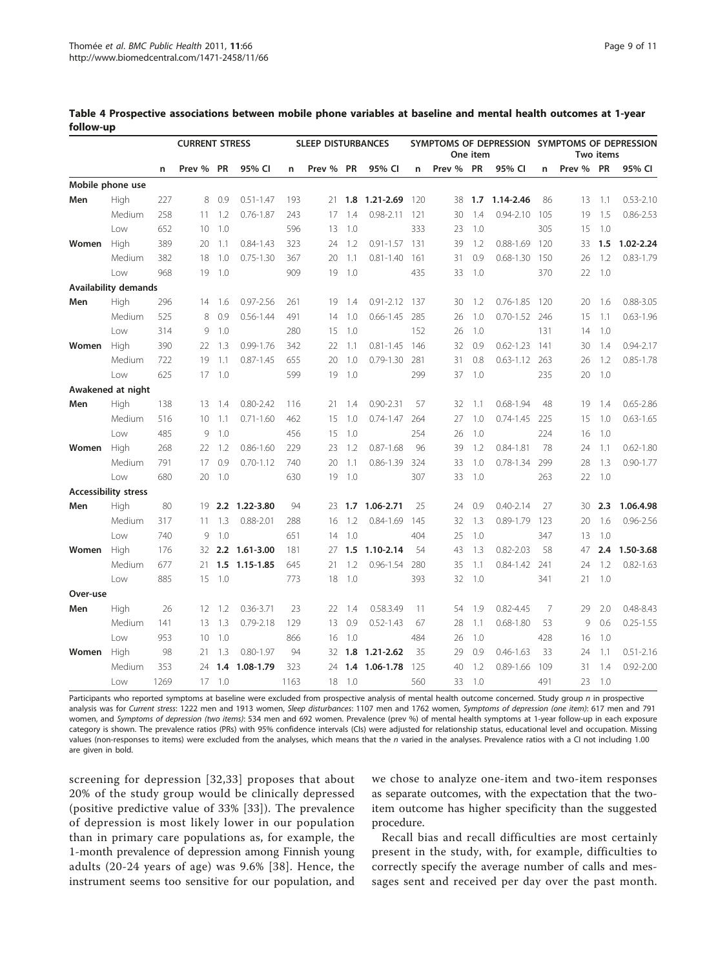<span id="page-8-0"></span>

| Table 4 Prospective associations between mobile phone variables at baseline and mental health outcomes at 1-year |  |  |
|------------------------------------------------------------------------------------------------------------------|--|--|
| follow-up                                                                                                        |  |  |

|          |                             | <b>CURRENT STRESS</b> |        |           | <b>SLEEP DISTURBANCES</b> |      |        | One item |               |     |        | SYMPTOMS OF DEPRESSION SYMPTOMS OF DEPRESSION<br>Two items |               |     |        |     |               |
|----------|-----------------------------|-----------------------|--------|-----------|---------------------------|------|--------|----------|---------------|-----|--------|------------------------------------------------------------|---------------|-----|--------|-----|---------------|
|          |                             | n                     | Prev % | <b>PR</b> | 95% CI                    | n    | Prev % | PR       | 95% CI        | n   | Prev % | <b>PR</b>                                                  | 95% CI        | n   | Prev % | PR  | 95% CI        |
|          | Mobile phone use            |                       |        |           |                           |      |        |          |               |     |        |                                                            |               |     |        |     |               |
| Men      | High                        | 227                   | 8      | 0.9       | $0.51 - 1.47$             | 193  | 21     | 1.8      | 1.21-2.69     | 120 | 38     | 1.7                                                        | 1.14-2.46     | 86  | 13     | 1.1 | $0.53 - 2.10$ |
|          | Medium                      | 258                   | 11     | 1.2       | $0.76 - 1.87$             | 243  | 17     | 1.4      | $0.98 - 2.11$ | 121 | 30     | 1.4                                                        | $0.94 - 2.10$ | 105 | 19     | 1.5 | $0.86 - 2.53$ |
|          | Low                         | 652                   | 10     | 1.0       |                           | 596  | 13     | 1.0      |               | 333 | 23     | 1.0                                                        |               | 305 | 15     | 1.0 |               |
| Women    | High                        | 389                   | 20     | 1.1       | $0.84 - 1.43$             | 323  | 24     | 1.2      | $0.91 - 1.57$ | 131 | 39     | 1.2                                                        | $0.88 - 1.69$ | 120 | 33     | 1.5 | $1.02 - 2.24$ |
|          | Medium                      | 382                   | 18     | 1.0       | $0.75 - 1.30$             | 367  | 20     | -1.1     | $0.81 - 1.40$ | 161 | 31     | 0.9                                                        | $0.68 - 1.30$ | 150 | 26     | 1.2 | $0.83 - 1.79$ |
|          | Low                         | 968                   | 19     | 1.0       |                           | 909  | 19     | 1.0      |               | 435 | 33     | 1.0                                                        |               | 370 | 22     | 1.0 |               |
|          | <b>Availability demands</b> |                       |        |           |                           |      |        |          |               |     |        |                                                            |               |     |        |     |               |
| Men      | High                        | 296                   | 14     | 1.6       | $0.97 - 2.56$             | 261  | 19     | 1.4      | $0.91 - 2.12$ | 137 | 30     | 1.2                                                        | $0.76 - 1.85$ | 120 | 20     | 1.6 | $0.88 - 3.05$ |
|          | Medium                      | 525                   | 8      | 0.9       | $0.56 - 1.44$             | 491  | 14     | 1.0      | $0.66 - 1.45$ | 285 | 26     | 1.0                                                        | $0.70 - 1.52$ | 246 | 15     | 1.1 | $0.63 - 1.96$ |
|          | Low                         | 314                   | 9      | 1.0       |                           | 280  | 15     | 1.0      |               | 152 | 26     | 1.0                                                        |               | 131 | 14     | 1.0 |               |
| Women    | High                        | 390                   | 22     | 1.3       | $0.99 - 1.76$             | 342  | 22     | 1.1      | $0.81 - 1.45$ | 146 | 32     | 0.9                                                        | $0.62 - 1.23$ | 141 | 30     | 1.4 | 0.94-2.17     |
|          | Medium                      | 722                   | 19     | 1.1       | $0.87 - 1.45$             | 655  | 20     | 1.0      | $0.79 - 1.30$ | 281 | 31     | 0.8                                                        | $0.63 - 1.12$ | 263 | 26     | 1.2 | $0.85 - 1.78$ |
|          | Low                         | 625                   | 17     | 1.0       |                           | 599  | 19     | 1.0      |               | 299 | 37     | 1.0                                                        |               | 235 | 20     | 1.0 |               |
|          | Awakened at night           |                       |        |           |                           |      |        |          |               |     |        |                                                            |               |     |        |     |               |
| Men      | High                        | 138                   | 13     | 1.4       | $0.80 - 2.42$             | 116  | 21     | 1.4      | $0.90 - 2.31$ | 57  | 32     | 1.1                                                        | $0.68 - 1.94$ | 48  | 19     | 1.4 | $0.65 - 2.86$ |
|          | Medium                      | 516                   | 10     | 1.1       | $0.71 - 1.60$             | 462  | 15     | 1.0      | $0.74 - 1.47$ | 264 | 27     | 1.0                                                        | $0.74 - 1.45$ | 225 | 15     | 1.0 | $0.63 - 1.65$ |
|          | Low                         | 485                   | 9      | 1.0       |                           | 456  | 15     | 1.0      |               | 254 | 26     | 1.0                                                        |               | 224 | 16     | 1.0 |               |
| Women    | High                        | 268                   | 22     | 1.2       | $0.86 - 1.60$             | 229  | 23     | 1.2      | $0.87 - 1.68$ | 96  | 39     | 1.2                                                        | $0.84 - 1.81$ | 78  | 24     | 1.1 | $0.62 - 1.80$ |
|          | Medium                      | 791                   | 17     | 0.9       | $0.70 - 1.12$             | 740  | 20     | 1.1      | $0.86 - 1.39$ | 324 | 33     | 1.0                                                        | $0.78 - 1.34$ | 299 | 28     | 1.3 | $0.90 - 1.77$ |
|          | Low                         | 680                   | 20     | 1.0       |                           | 630  | 19     | 1.0      |               | 307 | 33     | 1.0                                                        |               | 263 | 22     | 1.0 |               |
|          | <b>Accessibility stress</b> |                       |        |           |                           |      |        |          |               |     |        |                                                            |               |     |        |     |               |
| Men      | High                        | 80                    | 19     | 2.2       | 1.22-3.80                 | 94   | 23     | 1.7      | 1.06-2.71     | 25  | 24     | 0.9                                                        | $0.40 - 2.14$ | 27  | 30     | 2.3 | 1.06.4.98     |
|          | Medium                      | 317                   | 11     | 1.3       | $0.88 - 2.01$             | 288  | 16     | 1.2      | $0.84 - 1.69$ | 145 | 32     | 1.3                                                        | $0.89 - 1.79$ | 123 | 20     | 1.6 | $0.96 - 2.56$ |
|          | Low                         | 740                   | 9      | 1.0       |                           | 651  | 14     | 1.0      |               | 404 | 25     | 1.0                                                        |               | 347 | 13     | 1.0 |               |
| Women    | High                        | 176                   | 32     |           | 2.2 1.61-3.00             | 181  | 27     | 1.5      | 1.10-2.14     | 54  | 43     | 1.3                                                        | $0.82 - 2.03$ | 58  | 47     | 2.4 | 1.50-3.68     |
|          | Medium                      | 677                   | 21     | 1.5       | 1.15-1.85                 | 645  | 21     | 1.2      | $0.96 - 1.54$ | 280 | 35     | 1.1                                                        | $0.84 - 1.42$ | 241 | 24     | 1.2 | $0.82 - 1.63$ |
|          | Low                         | 885                   | 15     | 1.0       |                           | 773  | 18     | 1.0      |               | 393 | 32     | 1.0                                                        |               | 341 | 21     | 1.0 |               |
| Over-use |                             |                       |        |           |                           |      |        |          |               |     |        |                                                            |               |     |        |     |               |
| Men      | High                        | 26                    | 12     | 1.2       | $0.36 - 3.71$             | 23   | 22     | 1.4      | 0.58.3.49     | 11  | 54     | 1.9                                                        | $0.82 - 4.45$ | 7   | 29     | 2.0 | $0.48 - 8.43$ |
|          | Medium                      | 141                   | 13     | 1.3       | $0.79 - 2.18$             | 129  | 13     | 0.9      | $0.52 - 1.43$ | 67  | 28     | 1.1                                                        | $0.68 - 1.80$ | 53  | 9      | 0.6 | $0.25 - 1.55$ |
|          | Low                         | 953                   | 10     | 1.0       |                           | 866  | 16     | 1.0      |               | 484 | 26     | 1.0                                                        |               | 428 | 16     | 1.0 |               |
| Women    | High                        | 98                    | 21     | 1.3       | $0.80 - 1.97$             | 94   | 32     | 1.8      | 1.21-2.62     | 35  | 29     | 0.9                                                        | $0.46 - 1.63$ | 33  | 24     | 1.1 | $0.51 - 2.16$ |
|          | Medium                      | 353                   | 24     | 1.4       | 1.08-1.79                 | 323  | 24     | 1.4      | 1.06-1.78     | 125 | 40     | 1.2                                                        | $0.89 - 1.66$ | 109 | 31     | 1.4 | $0.92 - 2.00$ |
|          | Low                         | 1269                  | 17     | 1.0       |                           | 1163 | 18     | - 1.0    |               | 560 | 33     | 1.0                                                        |               | 491 | 23     | 1.0 |               |

Participants who reported symptoms at baseline were excluded from prospective analysis of mental health outcome concerned. Study group n in prospective analysis was for Current stress: 1222 men and 1913 women, Sleep disturbances: 1107 men and 1762 women, Symptoms of depression (one item): 617 men and 791 women, and Symptoms of depression (two items): 534 men and 692 women. Prevalence (prev %) of mental health symptoms at 1-year follow-up in each exposure category is shown. The prevalence ratios (PRs) with 95% confidence intervals (CIs) were adjusted for relationship status, educational level and occupation. Missing values (non-responses to items) were excluded from the analyses, which means that the n varied in the analyses. Prevalence ratios with a CI not including 1.00 are given in bold.

screening for depression [[32,33\]](#page-10-0) proposes that about 20% of the study group would be clinically depressed (positive predictive value of 33% [[33\]](#page-10-0)). The prevalence of depression is most likely lower in our population than in primary care populations as, for example, the 1-month prevalence of depression among Finnish young adults (20-24 years of age) was 9.6% [[38](#page-10-0)]. Hence, the instrument seems too sensitive for our population, and we chose to analyze one-item and two-item responses as separate outcomes, with the expectation that the twoitem outcome has higher specificity than the suggested procedure.

Recall bias and recall difficulties are most certainly present in the study, with, for example, difficulties to correctly specify the average number of calls and messages sent and received per day over the past month.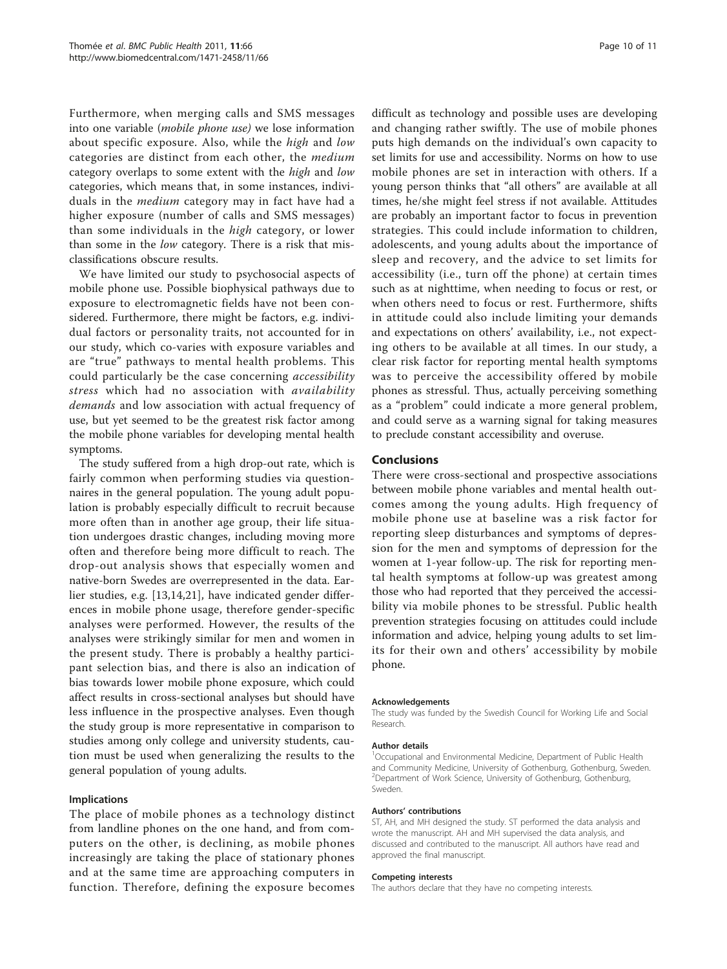Furthermore, when merging calls and SMS messages into one variable (mobile phone use) we lose information about specific exposure. Also, while the high and low categories are distinct from each other, the medium category overlaps to some extent with the high and low categories, which means that, in some instances, individuals in the medium category may in fact have had a higher exposure (number of calls and SMS messages) than some individuals in the high category, or lower than some in the low category. There is a risk that misclassifications obscure results.

We have limited our study to psychosocial aspects of mobile phone use. Possible biophysical pathways due to exposure to electromagnetic fields have not been considered. Furthermore, there might be factors, e.g. individual factors or personality traits, not accounted for in our study, which co-varies with exposure variables and are "true" pathways to mental health problems. This could particularly be the case concerning accessibility stress which had no association with availability demands and low association with actual frequency of use, but yet seemed to be the greatest risk factor among the mobile phone variables for developing mental health symptoms.

The study suffered from a high drop-out rate, which is fairly common when performing studies via questionnaires in the general population. The young adult population is probably especially difficult to recruit because more often than in another age group, their life situation undergoes drastic changes, including moving more often and therefore being more difficult to reach. The drop-out analysis shows that especially women and native-born Swedes are overrepresented in the data. Earlier studies, e.g. [[13,14,21\]](#page-10-0), have indicated gender differences in mobile phone usage, therefore gender-specific analyses were performed. However, the results of the analyses were strikingly similar for men and women in the present study. There is probably a healthy participant selection bias, and there is also an indication of bias towards lower mobile phone exposure, which could affect results in cross-sectional analyses but should have less influence in the prospective analyses. Even though the study group is more representative in comparison to studies among only college and university students, caution must be used when generalizing the results to the general population of young adults.

#### Implications

The place of mobile phones as a technology distinct from landline phones on the one hand, and from computers on the other, is declining, as mobile phones increasingly are taking the place of stationary phones and at the same time are approaching computers in function. Therefore, defining the exposure becomes difficult as technology and possible uses are developing and changing rather swiftly. The use of mobile phones puts high demands on the individual's own capacity to set limits for use and accessibility. Norms on how to use mobile phones are set in interaction with others. If a young person thinks that "all others" are available at all times, he/she might feel stress if not available. Attitudes are probably an important factor to focus in prevention strategies. This could include information to children, adolescents, and young adults about the importance of sleep and recovery, and the advice to set limits for accessibility (i.e., turn off the phone) at certain times such as at nighttime, when needing to focus or rest, or when others need to focus or rest. Furthermore, shifts in attitude could also include limiting your demands and expectations on others' availability, i.e., not expecting others to be available at all times. In our study, a clear risk factor for reporting mental health symptoms was to perceive the accessibility offered by mobile phones as stressful. Thus, actually perceiving something as a "problem" could indicate a more general problem, and could serve as a warning signal for taking measures to preclude constant accessibility and overuse.

#### Conclusions

There were cross-sectional and prospective associations between mobile phone variables and mental health outcomes among the young adults. High frequency of mobile phone use at baseline was a risk factor for reporting sleep disturbances and symptoms of depression for the men and symptoms of depression for the women at 1-year follow-up. The risk for reporting mental health symptoms at follow-up was greatest among those who had reported that they perceived the accessibility via mobile phones to be stressful. Public health prevention strategies focusing on attitudes could include information and advice, helping young adults to set limits for their own and others' accessibility by mobile phone.

#### Acknowledgements

The study was funded by the Swedish Council for Working Life and Social Research.

#### Author details

<sup>1</sup>Occupational and Environmental Medicine, Department of Public Health and Community Medicine, University of Gothenburg, Gothenburg, Sweden. 2 Department of Work Science, University of Gothenburg, Gothenburg, Sweden.

#### Authors' contributions

ST, AH, and MH designed the study. ST performed the data analysis and wrote the manuscript. AH and MH supervised the data analysis, and discussed and contributed to the manuscript. All authors have read and approved the final manuscript.

#### Competing interests

The authors declare that they have no competing interests.